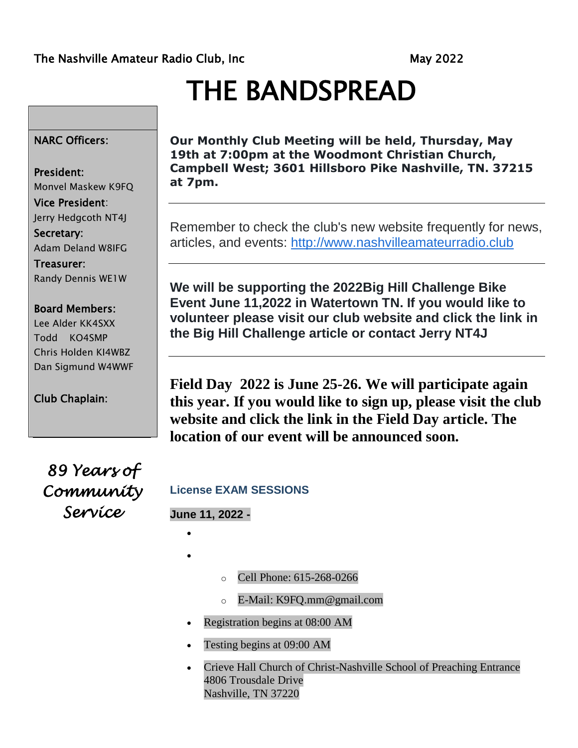# THE BANDSPREAD

### NARC Officers:

#### President:

Monvel Maskew K9FQ Vice President: Jerry Hedgcoth NT4J Secretary: Adam Deland W8IFG Treasurer: Randy Dennis WE1W

### Board Members:

Lee Alder KK4SXX Todd KO4SMP Chris Holden KI4WBZ Dan Sigmund W4WWF

Club Chaplain:

**Our Monthly Club Meeting will be held, Thursday, May 19th at 7:00pm at the Woodmont Christian Church, Campbell West; 3601 Hillsboro Pike Nashville, TN. 37215 at 7pm.** 

Remember to check the club's new website frequently for news, articles, and events: [http://www.nashvilleamateurradio.club](http://www.nashvilleamateurradio.club/)

**We will be supporting the 2022Big Hill Challenge Bike Event June 11,2022 in Watertown TN. If you would like to volunteer please visit our club website and click the link in the Big Hill Challenge article or contact Jerry NT4J**

**Field Day 2022 is June 25-26. We will participate again this year. If you would like to sign up, please visit the club website and click the link in the Field Day article. The location of our event will be announced soon.** 

*89 Years of Community Service* 

### **License EXAM SESSIONS**

### **June 11, 2022 -**

 $\bullet$ 

 $\bullet$ 

- o Cell Phone: 615-268-0266
- o E-Mail: K9FQ.mm@gmail.com
- Registration begins at 08:00 AM
- Testing begins at 09:00 AM
- Crieve Hall Church of Christ-Nashville School of Preaching Entrance 4806 Trousdale Drive Nashville, TN 37220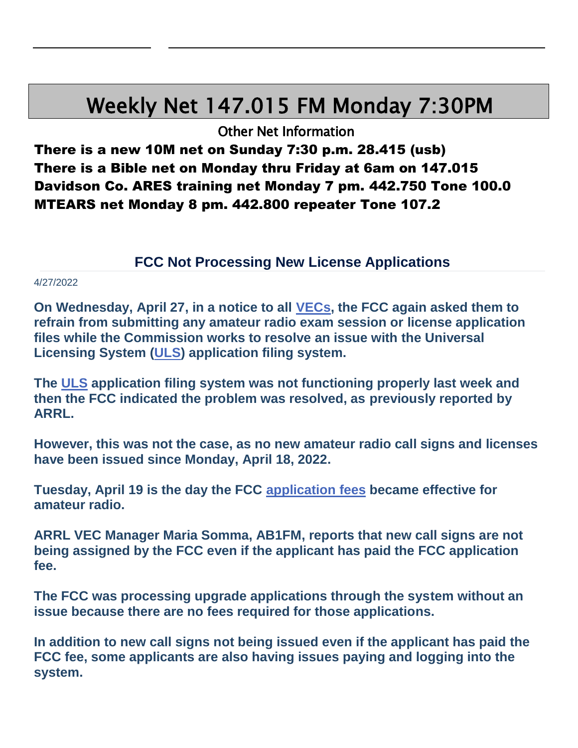## Weekly Net 147.015 FM Monday 7:30PM

Other Net Information

There is a new 10M net on Sunday 7:30 p.m. 28.415 (usb) There is a Bible net on Monday thru Friday at 6am on 147.015 Davidson Co. ARES training net Monday 7 pm. 442.750 Tone 100.0 MTEARS net Monday 8 pm. 442.800 repeater Tone 107.2

### **FCC Not Processing New License Applications**

#### 4/27/2022

**On Wednesday, April 27, in a notice to all [VECs,](https://www.fcc.gov/volunteer-examiner-coordinators-vecs) the FCC again asked them to refrain from submitting any amateur radio exam session or license application files while the Commission works to resolve an issue with the Universal Licensing System [\(ULS\)](https://www.fcc.gov/wireless/universal-licensing-system) application filing system.** 

**The [ULS](https://www.fcc.gov/wireless/universal-licensing-system) application filing system was not functioning properly last week and then the FCC indicated the problem was resolved, as previously reported by ARRL.** 

**However, this was not the case, as no new amateur radio call signs and licenses have been issued since Monday, April 18, 2022.** 

**Tuesday, April 19 is the day the FCC [application fees](http://www.arrl.org/fcc-application-fee) became effective for amateur radio.** 

**ARRL VEC Manager Maria Somma, AB1FM, reports that new call signs are not being assigned by the FCC even if the applicant has paid the FCC application fee.** 

**The FCC was processing upgrade applications through the system without an issue because there are no fees required for those applications.** 

**In addition to new call signs not being issued even if the applicant has paid the FCC fee, some applicants are also having issues paying and logging into the system.**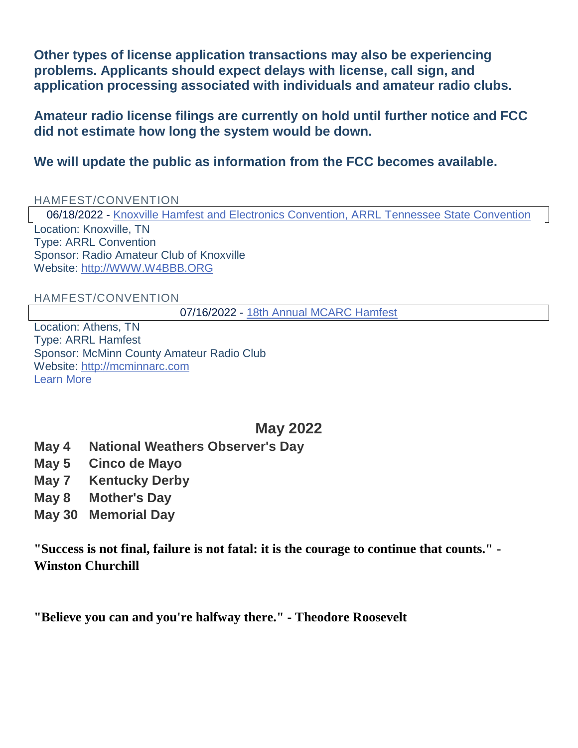**Other types of license application transactions may also be experiencing problems. Applicants should expect delays with license, call sign, and application processing associated with individuals and amateur radio clubs.** 

**Amateur radio license filings are currently on hold until further notice and FCC did not estimate how long the system would be down.** 

**We will update the public as information from the FCC becomes available.** 

### HAMFEST/CONVENTION

06/18/2022 - [Knoxville Hamfest and Electronics Convention, ARRL Tennessee State Convention](http://arrl.org/hamfests/knoxville-hamfest-and-electronics-convention-arrl-tennessee-state-convention) Location: Knoxville, TN Type: ARRL Convention Sponsor: Radio Amateur Club of Knoxville Website: [http://WWW.W4BBB.ORG](http://www.w4bbb.org/)

HAMFEST/CONVENTION

07/16/2022 - [18th Annual MCARC Hamfest](http://arrl.org/hamfests/18th-annual-mcarc-hamfest)

Location: Athens, TN Type: ARRL Hamfest Sponsor: McMinn County Amateur Radio Club Website: [http://mcminnarc.com](http://mcminnarc.com/) [Learn More](http://arrl.org/hamfests/18th-annual-mcarc-hamfest)

### **May 2022**

- **May 4 National Weathers Observer's Day**
- **May 5 Cinco de Mayo**
- **May 7 Kentucky Derby**
- **May 8 Mother's Day**
- **May 30 Memorial Day**

**"Success is not final, failure is not fatal: it is the courage to continue that counts." - Winston Churchill**

**"Believe you can and you're halfway there." - Theodore Roosevelt**